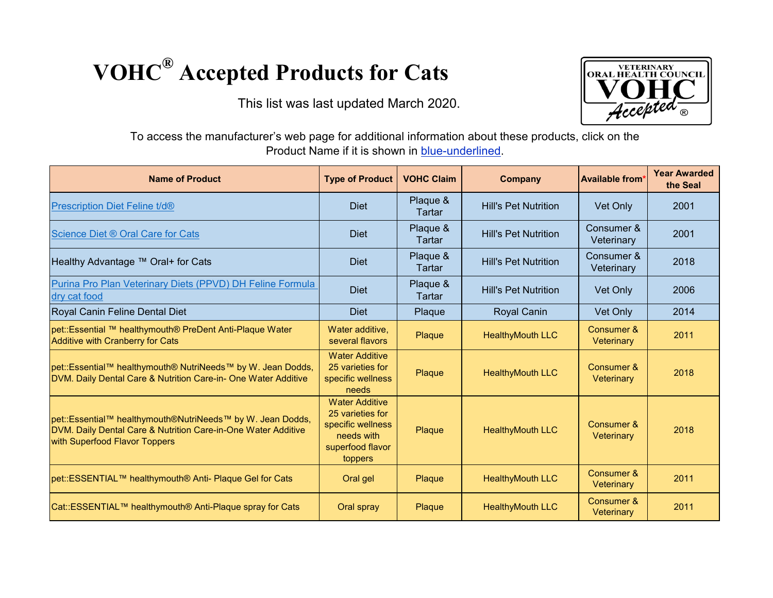## **VOHC® Accepted Products for Cats**

This list was last updated March 2020.



To access the manufacturer's web page for additional information about these products, click on the Product Name if it is shown in blue-underlined.

| <b>Name of Product</b>                                                                                                                                       | <b>Type of Product</b>                                                                                      | <b>VOHC Claim</b>  | <b>Company</b>              | <b>Available from</b>    | <b>Year Awarded</b><br>the Seal |
|--------------------------------------------------------------------------------------------------------------------------------------------------------------|-------------------------------------------------------------------------------------------------------------|--------------------|-----------------------------|--------------------------|---------------------------------|
| <b>Prescription Diet Feline t/d®</b>                                                                                                                         | <b>Diet</b>                                                                                                 | Plaque &<br>Tartar | <b>Hill's Pet Nutrition</b> | Vet Only                 | 2001                            |
| Science Diet ® Oral Care for Cats                                                                                                                            | <b>Diet</b>                                                                                                 | Plaque &<br>Tartar | <b>Hill's Pet Nutrition</b> | Consumer &<br>Veterinary | 2001                            |
| Healthy Advantage ™ Oral+ for Cats                                                                                                                           | <b>Diet</b>                                                                                                 | Plaque &<br>Tartar | <b>Hill's Pet Nutrition</b> | Consumer &<br>Veterinary | 2018                            |
| Purina Pro Plan Veterinary Diets (PPVD) DH Feline Formula<br>dry cat food                                                                                    | <b>Diet</b>                                                                                                 | Plaque &<br>Tartar | <b>Hill's Pet Nutrition</b> | Vet Only                 | 2006                            |
| Royal Canin Feline Dental Diet                                                                                                                               | <b>Diet</b>                                                                                                 | Plaque             | <b>Royal Canin</b>          | Vet Only                 | 2014                            |
| pet::Essential ™ healthymouth® PreDent Anti-Plaque Water<br><b>Additive with Cranberry for Cats</b>                                                          | Water additive.<br>several flavors                                                                          | Plaque             | <b>HealthyMouth LLC</b>     | Consumer &<br>Veterinary | 2011                            |
| pet::Essential™ healthymouth® NutriNeeds™ by W. Jean Dodds,<br>DVM. Daily Dental Care & Nutrition Care-in- One Water Additive                                | <b>Water Additive</b><br>25 varieties for<br>specific wellness<br>needs                                     | Plaque             | <b>HealthyMouth LLC</b>     | Consumer &<br>Veterinary | 2018                            |
| pet::Essential™ healthymouth®NutriNeeds™ by W. Jean Dodds,<br>DVM. Daily Dental Care & Nutrition Care-in-One Water Additive<br>with Superfood Flavor Toppers | <b>Water Additive</b><br>25 varieties for<br>specific wellness<br>needs with<br>superfood flavor<br>toppers | Plaque             | <b>HealthyMouth LLC</b>     | Consumer &<br>Veterinary | 2018                            |
| pet::ESSENTIAL™ healthymouth® Anti- Plaque Gel for Cats                                                                                                      | Oral gel                                                                                                    | Plaque             | <b>HealthyMouth LLC</b>     | Consumer &<br>Veterinary | 2011                            |
| Cat::ESSENTIAL™ healthymouth® Anti-Plaque spray for Cats                                                                                                     | Oral spray                                                                                                  | Plaque             | <b>HealthyMouth LLC</b>     | Consumer &<br>Veterinary | 2011                            |